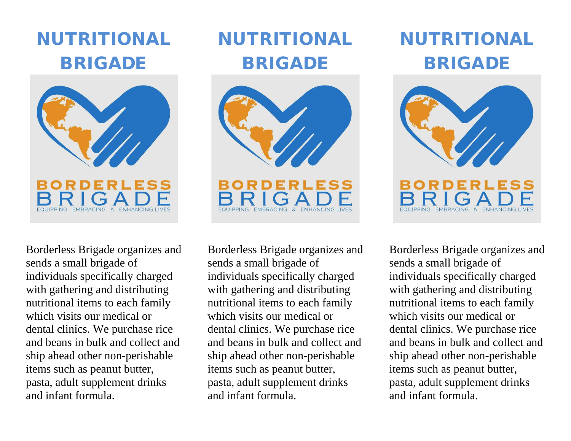## NUTRITIONAL BRIGADE



NUTRITIONAL BRIGADE



EMBRACING & ENHANCING LIVE

Borderless Brigade organizes and sends a small brigade of individuals specifically charged with gathering and distributing nutritional items to each family which visits our medical or dental clinics. We purchase rice and beans in bulk and collect and ship ahead other non-perishable items such as peanut butter, pasta, adult supplement drinks and infant formula.

Borderless Brigade organizes and sends a small brigade of individuals specifically charged with gathering and distributing nutritional items to each family which visits our medical or dental clinics. We purchase rice and beans in bulk and collect and ship ahead other non-perishable items such as peanut butter, pasta, adult supplement drinks and infant formula.

## NUTRITIONAL BRIGADE



Borderless Brigade organizes and sends a small brigade of individuals specifically charged with gathering and distributing nutritional items to each family which visits our medical or dental clinics. We purchase rice and beans in bulk and collect and ship ahead other non-perishable items such as peanut butter, pasta, adult supplement drinks and infant formula.